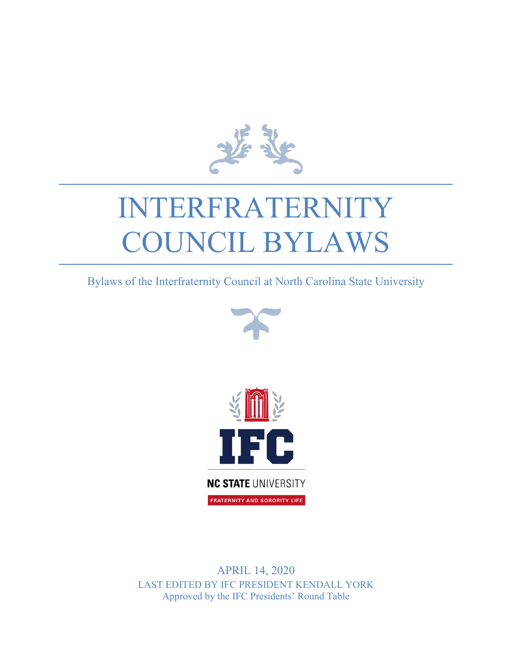

# INTERFRATERNITY COUNCIL BYLAWS

Bylaws of the Interfraternity Council at North Carolina State University





APRIL 14, 2020 LAST EDITED BY IFC PRESIDENT KENDALL YORK Approved by the IFC Presidents' Round Table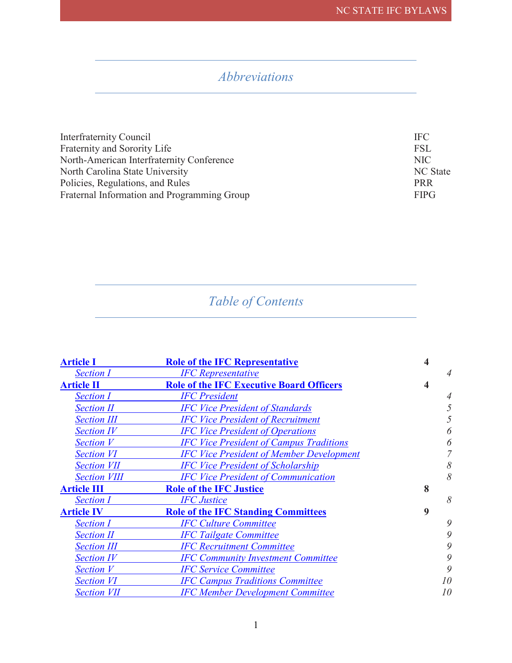# *Abbreviations*

| IFC.        |
|-------------|
| <b>FSL</b>  |
| NIC.        |
| NC State    |
| <b>PRR</b>  |
| <b>FIPG</b> |
|             |

# *Table of Contents*

| <b>Article I</b>    | <b>Role of the IFC Representative</b>           |                  |
|---------------------|-------------------------------------------------|------------------|
| <b>Section I</b>    | <b>IFC</b> Representative                       | $\overline{4}$   |
| <b>Article II</b>   | <b>Role of the IFC Executive Board Officers</b> | $\boldsymbol{4}$ |
| <b>Section I</b>    | <b>IFC</b> President                            | 4                |
| <b>Section II</b>   | <b>IFC Vice President of Standards</b>          |                  |
| <b>Section III</b>  | <b>IFC Vice President of Recruitment</b>        |                  |
| <b>Section IV</b>   | <b>IFC Vice President of Operations</b>         |                  |
| <b>Section V</b>    | <b>IFC Vice President of Campus Traditions</b>  |                  |
| <b>Section VI</b>   | <b>IFC Vice President of Member Development</b> |                  |
| <b>Section VII</b>  | <b>IFC Vice President of Scholarship</b>        | 8                |
| <b>Section VIII</b> | <b>IFC Vice President of Communication</b>      | 8                |
| <b>Article III</b>  | <b>Role of the IFC Justice</b>                  | 8                |
| <b>Section I</b>    | <b>IFC Justice</b>                              | 8                |
| <b>Article IV</b>   | <b>Role of the IFC Standing Committees</b>      | 9                |
| <b>Section I</b>    | <b>IFC Culture Committee</b>                    | 9                |
| <b>Section II</b>   | <b>IFC</b> Tailgate Committee                   | 9                |
| <b>Section III</b>  | <b>IFC Recruitment Committee</b>                | 9                |
| <b>Section IV</b>   | <b>IFC Community Investment Committee</b>       | 9                |
| <b>Section</b> V    | <b>IFC Service Committee</b>                    | 9                |
| <b>Section VI</b>   | <b>IFC Campus Traditions Committee</b>          | 10               |
| <b>Section VII</b>  | <b>IFC Member Development Committee</b>         | 10               |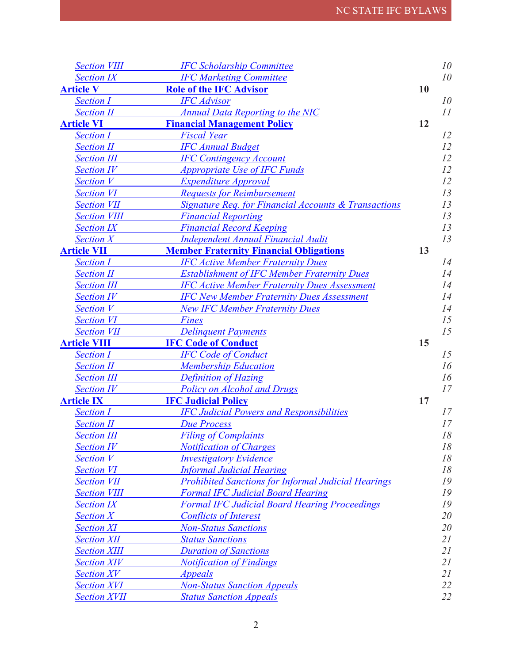| <b>Section VIII</b> | <b>IFC Scholarship Committee</b>                           |    | 10              |
|---------------------|------------------------------------------------------------|----|-----------------|
| <b>Section IX</b>   | <b>IFC Marketing Committee</b>                             |    | 10 <sup>°</sup> |
| <b>Article V</b>    | <b>Role of the IFC Advisor</b>                             | 10 |                 |
| <b>Section I</b>    | <b>IFC</b> Advisor                                         |    | 10              |
| <b>Section II</b>   | <b>Annual Data Reporting to the NIC</b>                    |    | 11              |
| <b>Article VI</b>   | <b>Financial Management Policy</b>                         | 12 |                 |
| <b>Section I</b>    | <b>Fiscal Year</b>                                         |    | 12              |
| <b>Section II</b>   | <b>IFC Annual Budget</b>                                   |    | 12              |
| <b>Section III</b>  | <b>IFC Contingency Account</b>                             |    | 12              |
| <b>Section IV</b>   | <b>Appropriate Use of IFC Funds</b>                        |    | 12              |
| <b>Section V</b>    | <b>Expenditure Approval</b>                                |    | 12              |
| <b>Section VI</b>   | <b>Requests for Reimbursement</b>                          |    | 13              |
| <b>Section VII</b>  | Signature Req. for Financial Accounts & Transactions       |    | 13              |
| <b>Section VIII</b> | <b>Financial Reporting</b>                                 |    | 13              |
| <b>Section IX</b>   | <b>Financial Record Keeping</b>                            |    | 13              |
| <b>Section X</b>    | <b>Independent Annual Financial Audit</b>                  |    | 13              |
| <b>Article VII</b>  | <b>Member Fraternity Financial Obligations</b>             | 13 |                 |
| <b>Section I</b>    | <b>IFC Active Member Fraternity Dues</b>                   |    | 14              |
| <b>Section II</b>   | <b>Establishment of IFC Member Fraternity Dues</b>         |    | 14              |
| <b>Section III</b>  | <b>IFC Active Member Fraternity Dues Assessment</b>        |    | 14              |
| <b>Section IV</b>   | <b>IFC New Member Fraternity Dues Assessment</b>           |    | 14              |
| <b>Section V</b>    | <b>New IFC Member Fraternity Dues</b>                      |    | 14              |
| <b>Section VI</b>   | <b>Fines</b>                                               |    | 15              |
| <b>Section VII</b>  | <b>Delinquent Payments</b>                                 |    | 15              |
| <b>Article VIII</b> | <b>IFC Code of Conduct</b>                                 | 15 |                 |
| <b>Section I</b>    | <b>IFC Code of Conduct</b>                                 |    | 15              |
| <b>Section II</b>   | <b>Membership Education</b>                                |    | 16              |
| <b>Section III</b>  | Definition of Hazing                                       |    | 16              |
| <b>Section IV</b>   | <b>Policy on Alcohol and Drugs</b>                         |    | 17              |
| <b>Article IX</b>   | <b>IFC Judicial Policy</b>                                 | 17 |                 |
| <b>Section I</b>    | <b>IFC Judicial Powers and Responsibilities</b>            |    | 17              |
| <b>Section II</b>   | <b>Due Process</b>                                         |    | 17              |
| <b>Section III</b>  | <b>Filing of Complaints</b>                                |    | 18              |
| <b>Section IV</b>   | <b>Notification of Charges</b>                             |    | 18              |
| <b>Section V</b>    | <b>Investigatory Evidence</b>                              |    | 18              |
| <b>Section VI</b>   | <b>Informal Judicial Hearing</b>                           |    | 18              |
| <b>Section VII</b>  | <b>Prohibited Sanctions for Informal Judicial Hearings</b> |    | 19              |
| <b>Section VIII</b> | <b>Formal IFC Judicial Board Hearing</b>                   |    | 19              |
| <b>Section IX</b>   | <b>Formal IFC Judicial Board Hearing Proceedings</b>       |    | 19              |
| <b>Section X</b>    | <b>Conflicts of Interest</b>                               |    | 20              |
| <b>Section XI</b>   | <b>Non-Status Sanctions</b>                                |    | 20              |
| <b>Section XII</b>  | <b>Status Sanctions</b>                                    |    | 21              |
| <b>Section XIII</b> | <b>Duration of Sanctions</b>                               |    | 21              |
| <b>Section XIV</b>  | <b>Notification of Findings</b>                            |    | 21              |
| <b>Section XV</b>   | <b>Appeals</b>                                             |    | 21              |
| <b>Section XVI</b>  | <b>Non-Status Sanction Appeals</b>                         |    | 22              |
| <b>Section XVII</b> | <b>Status Sanction Appeals</b>                             |    | 22              |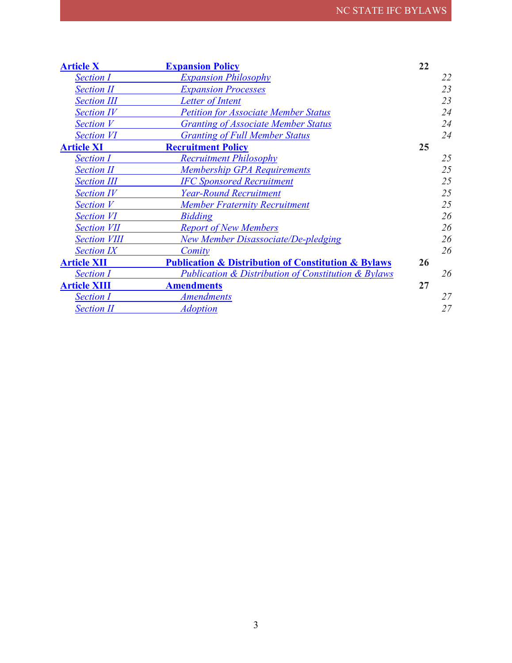| <b>Article X</b>    | <b>Expansion Policy</b>                                            | 22 |    |
|---------------------|--------------------------------------------------------------------|----|----|
| <b>Section I</b>    | <b>Expansion Philosophy</b>                                        |    | 22 |
| <b>Section II</b>   | <b>Expansion Processes</b>                                         |    | 23 |
| <b>Section III</b>  | Letter of Intent                                                   |    | 23 |
| <b>Section IV</b>   | <b>Petition for Associate Member Status</b>                        |    | 24 |
| <b>Section V</b>    | <b>Granting of Associate Member Status</b>                         |    | 24 |
| <b>Section VI</b>   | <b>Granting of Full Member Status</b>                              |    | 24 |
| <b>Article XI</b>   | <b>Recruitment Policy</b>                                          | 25 |    |
| <b>Section I</b>    | <b>Recruitment Philosophy</b>                                      |    | 25 |
| <b>Section II</b>   | Membership GPA Requirements                                        |    | 25 |
| <b>Section III</b>  | <b>IFC Sponsored Recruitment</b>                                   |    | 25 |
| <b>Section IV</b>   | <b>Year-Round Recruitment</b>                                      |    | 25 |
| <b>Section V</b>    | <b>Member Fraternity Recruitment</b>                               |    | 25 |
| <b>Section VI</b>   | <b>Bidding</b>                                                     |    | 26 |
| <b>Section VII</b>  | <b>Report of New Members</b>                                       |    | 26 |
| <b>Section VIII</b> | New Member Disassociate/De-pledging                                |    | 26 |
| <b>Section IX</b>   | Comity                                                             |    | 26 |
| <b>Article XII</b>  | <b>Publication &amp; Distribution of Constitution &amp; Bylaws</b> | 26 |    |
| <b>Section I</b>    | <b>Publication &amp; Distribution of Constitution &amp; Bylaws</b> |    | 26 |
| <b>Article XIII</b> | <b>Amendments</b>                                                  | 27 |    |
| <b>Section I</b>    | <b>Amendments</b>                                                  |    | 27 |
| <b>Section II</b>   | <b>Adoption</b>                                                    |    | 27 |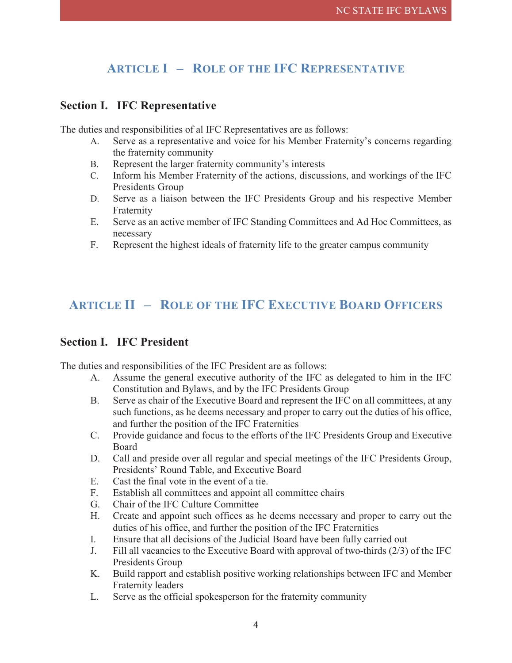# **ARTICLE I – ROLE OF THE IFC REPRESENTATIVE**

#### <span id="page-4-1"></span><span id="page-4-0"></span>**Section I. IFC Representative**

The duties and responsibilities of al IFC Representatives are as follows:

- A. Serve as a representative and voice for his Member Fraternity's concerns regarding the fraternity community
- B. Represent the larger fraternity community's interests
- C. Inform his Member Fraternity of the actions, discussions, and workings of the IFC Presidents Group
- D. Serve as a liaison between the IFC Presidents Group and his respective Member Fraternity
- E. Serve as an active member of IFC Standing Committees and Ad Hoc Committees, as necessary
- F. Represent the highest ideals of fraternity life to the greater campus community

# <span id="page-4-2"></span>**ARTICLE II – ROLE OF THE IFC EXECUTIVE BOARD OFFICERS**

#### <span id="page-4-3"></span>**Section I. IFC President**

The duties and responsibilities of the IFC President are as follows:

- A. Assume the general executive authority of the IFC as delegated to him in the IFC Constitution and Bylaws, and by the IFC Presidents Group
- B. Serve as chair of the Executive Board and represent the IFC on all committees, at any such functions, as he deems necessary and proper to carry out the duties of his office, and further the position of the IFC Fraternities
- C. Provide guidance and focus to the efforts of the IFC Presidents Group and Executive Board
- D. Call and preside over all regular and special meetings of the IFC Presidents Group, Presidents' Round Table, and Executive Board
- E. Cast the final vote in the event of a tie.
- F. Establish all committees and appoint all committee chairs
- G. Chair of the IFC Culture Committee
- H. Create and appoint such offices as he deems necessary and proper to carry out the duties of his office, and further the position of the IFC Fraternities
- I. Ensure that all decisions of the Judicial Board have been fully carried out
- J. Fill all vacancies to the Executive Board with approval of two-thirds (2/3) of the IFC Presidents Group
- K. Build rapport and establish positive working relationships between IFC and Member Fraternity leaders
- L. Serve as the official spokesperson for the fraternity community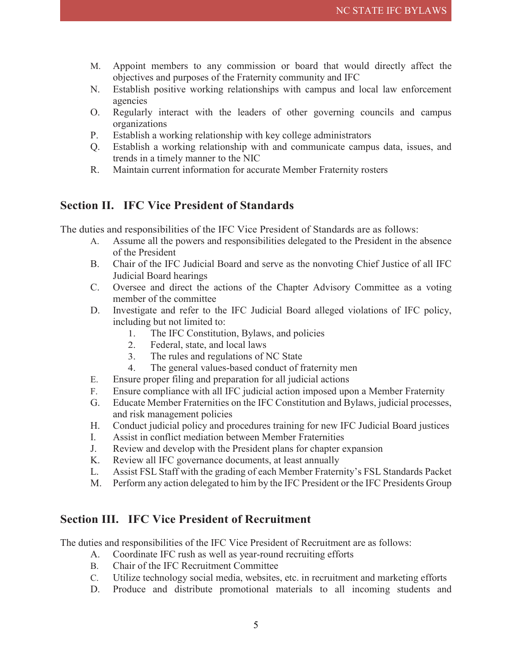- M. Appoint members to any commission or board that would directly affect the objectives and purposes of the Fraternity community and IFC
- N. Establish positive working relationships with campus and local law enforcement agencies
- O. Regularly interact with the leaders of other governing councils and campus organizations
- P. Establish a working relationship with key college administrators
- Q. Establish a working relationship with and communicate campus data, issues, and trends in a timely manner to the NIC
- R. Maintain current information for accurate Member Fraternity rosters

#### <span id="page-5-0"></span>**Section II. IFC Vice President of Standards**

The duties and responsibilities of the IFC Vice President of Standards are as follows:

- A. Assume all the powers and responsibilities delegated to the President in the absence of the President
- B. Chair of the IFC Judicial Board and serve as the nonvoting Chief Justice of all IFC Judicial Board hearings
- C. Oversee and direct the actions of the Chapter Advisory Committee as a voting member of the committee
- D. Investigate and refer to the IFC Judicial Board alleged violations of IFC policy, including but not limited to:
	- 1. The IFC Constitution, Bylaws, and policies
	- 2. Federal, state, and local laws
	- 3. The rules and regulations of NC State
	- 4. The general values-based conduct of fraternity men
- E. Ensure proper filing and preparation for all judicial actions
- F. Ensure compliance with all IFC judicial action imposed upon a Member Fraternity
- G. Educate Member Fraternities on the IFC Constitution and Bylaws, judicial processes, and risk management policies
- H. Conduct judicial policy and procedures training for new IFC Judicial Board justices
- I. Assist in conflict mediation between Member Fraternities
- J. Review and develop with the President plans for chapter expansion
- K. Review all IFC governance documents, at least annually
- L. Assist FSL Staff with the grading of each Member Fraternity's FSL Standards Packet
- M. Perform any action delegated to him by the IFC President or the IFC Presidents Group

#### <span id="page-5-1"></span>**Section III. IFC Vice President of Recruitment**

The duties and responsibilities of the IFC Vice President of Recruitment are as follows:

- A. Coordinate IFC rush as well as year-round recruiting efforts
- B. Chair of the IFC Recruitment Committee
- C. Utilize technology social media, websites, etc. in recruitment and marketing efforts
- D. Produce and distribute promotional materials to all incoming students and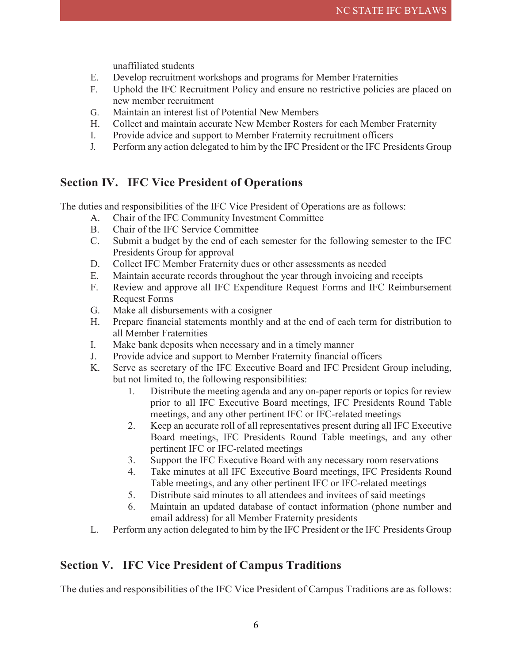unaffiliated students

- E. Develop recruitment workshops and programs for Member Fraternities
- F. Uphold the IFC Recruitment Policy and ensure no restrictive policies are placed on new member recruitment
- G. Maintain an interest list of Potential New Members
- H. Collect and maintain accurate New Member Rosters for each Member Fraternity
- I. Provide advice and support to Member Fraternity recruitment officers
- J. Perform any action delegated to him by the IFC President or the IFC Presidents Group

#### <span id="page-6-0"></span>**Section IV. IFC Vice President of Operations**

The duties and responsibilities of the IFC Vice President of Operations are as follows:

- A. Chair of the IFC Community Investment Committee
- B. Chair of the IFC Service Committee
- C. Submit a budget by the end of each semester for the following semester to the IFC Presidents Group for approval
- D. Collect IFC Member Fraternity dues or other assessments as needed
- E. Maintain accurate records throughout the year through invoicing and receipts
- F. Review and approve all IFC Expenditure Request Forms and IFC Reimbursement Request Forms
- G. Make all disbursements with a cosigner
- H. Prepare financial statements monthly and at the end of each term for distribution to all Member Fraternities
- I. Make bank deposits when necessary and in a timely manner
- J. Provide advice and support to Member Fraternity financial officers
- K. Serve as secretary of the IFC Executive Board and IFC President Group including, but not limited to, the following responsibilities:
	- 1. Distribute the meeting agenda and any on-paper reports or topics for review prior to all IFC Executive Board meetings, IFC Presidents Round Table meetings, and any other pertinent IFC or IFC-related meetings
	- 2. Keep an accurate roll of all representatives present during all IFC Executive Board meetings, IFC Presidents Round Table meetings, and any other pertinent IFC or IFC-related meetings
	- 3. Support the IFC Executive Board with any necessary room reservations
	- 4. Take minutes at all IFC Executive Board meetings, IFC Presidents Round Table meetings, and any other pertinent IFC or IFC-related meetings
	- 5. Distribute said minutes to all attendees and invitees of said meetings
	- 6. Maintain an updated database of contact information (phone number and email address) for all Member Fraternity presidents
- L. Perform any action delegated to him by the IFC President or the IFC Presidents Group

#### <span id="page-6-1"></span>**Section V. IFC Vice President of Campus Traditions**

The duties and responsibilities of the IFC Vice President of Campus Traditions are as follows: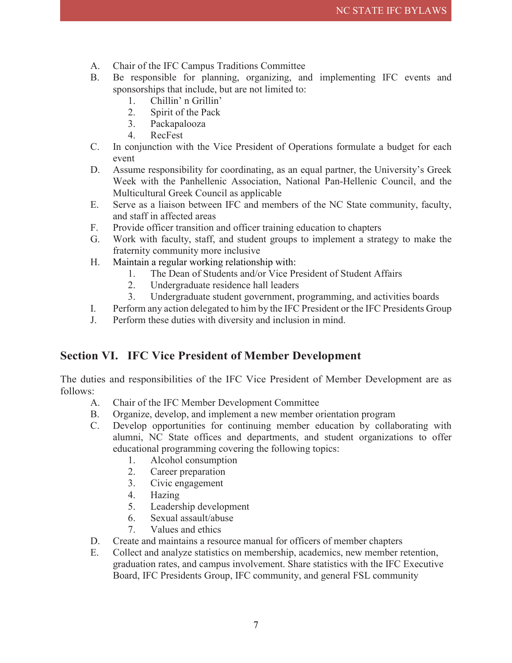- A. Chair of the IFC Campus Traditions Committee
- B. Be responsible for planning, organizing, and implementing IFC events and sponsorships that include, but are not limited to:
	- 1. Chillin' n Grillin'
	- 2. Spirit of the Pack
	- 3. Packapalooza
	- 4. RecFest
- C. In conjunction with the Vice President of Operations formulate a budget for each event
- D. Assume responsibility for coordinating, as an equal partner, the University's Greek Week with the Panhellenic Association, National Pan-Hellenic Council, and the Multicultural Greek Council as applicable
- E. Serve as a liaison between IFC and members of the NC State community, faculty, and staff in affected areas
- F. Provide officer transition and officer training education to chapters
- G. Work with faculty, staff, and student groups to implement a strategy to make the fraternity community more inclusive
- H. Maintain a regular working relationship with:
	- 1. The Dean of Students and/or Vice President of Student Affairs
	- 2. Undergraduate residence hall leaders
	- 3. Undergraduate student government, programming, and activities boards
- I. Perform any action delegated to him by the IFC President or the IFC Presidents Group
- J. Perform these duties with diversity and inclusion in mind.

#### <span id="page-7-0"></span>**Section VI. IFC Vice President of Member Development**

The duties and responsibilities of the IFC Vice President of Member Development are as follows:

- A. Chair of the IFC Member Development Committee
- B. Organize, develop, and implement a new member orientation program
- C. Develop opportunities for continuing member education by collaborating with alumni, NC State offices and departments, and student organizations to offer educational programming covering the following topics:
	- 1. Alcohol consumption
	- 2. Career preparation
	- 3. Civic engagement
	- 4. Hazing
	- 5. Leadership development
	- 6. Sexual assault/abuse
	- 7. Values and ethics
- D. Create and maintains a resource manual for officers of member chapters
- E. Collect and analyze statistics on membership, academics, new member retention, graduation rates, and campus involvement. Share statistics with the IFC Executive Board, IFC Presidents Group, IFC community, and general FSL community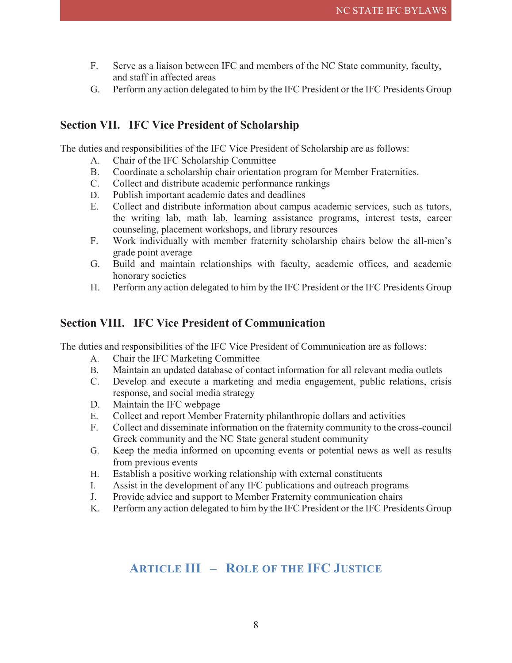- F. Serve as a liaison between IFC and members of the NC State community, faculty, and staff in affected areas
- G. Perform any action delegated to him by the IFC President or the IFC Presidents Group

#### <span id="page-8-0"></span>**Section VII. IFC Vice President of Scholarship**

The duties and responsibilities of the IFC Vice President of Scholarship are as follows:

- A. Chair of the IFC Scholarship Committee
- B. Coordinate a scholarship chair orientation program for Member Fraternities.
- C. Collect and distribute academic performance rankings
- D. Publish important academic dates and deadlines
- E. Collect and distribute information about campus academic services, such as tutors, the writing lab, math lab, learning assistance programs, interest tests, career counseling, placement workshops, and library resources
- F. Work individually with member fraternity scholarship chairs below the all-men's grade point average
- G. Build and maintain relationships with faculty, academic offices, and academic honorary societies
- H. Perform any action delegated to him by the IFC President or the IFC Presidents Group

#### <span id="page-8-1"></span>**Section VIII. IFC Vice President of Communication**

The duties and responsibilities of the IFC Vice President of Communication are as follows:

- A. Chair the IFC Marketing Committee
- B. Maintain an updated database of contact information for all relevant media outlets
- C. Develop and execute a marketing and media engagement, public relations, crisis response, and social media strategy
- D. Maintain the IFC webpage
- E. Collect and report Member Fraternity philanthropic dollars and activities
- F. Collect and disseminate information on the fraternity community to the cross-council Greek community and the NC State general student community
- G. Keep the media informed on upcoming events or potential news as well as results from previous events
- H. Establish a positive working relationship with external constituents
- I. Assist in the development of any IFC publications and outreach programs
- J. Provide advice and support to Member Fraternity communication chairs<br>K. Perform any action delegated to him by the IFC President or the IFC President
- <span id="page-8-2"></span>Perform any action delegated to him by the IFC President or the IFC Presidents Group

# **ARTICLE III – ROLE OF THE IFC JUSTICE**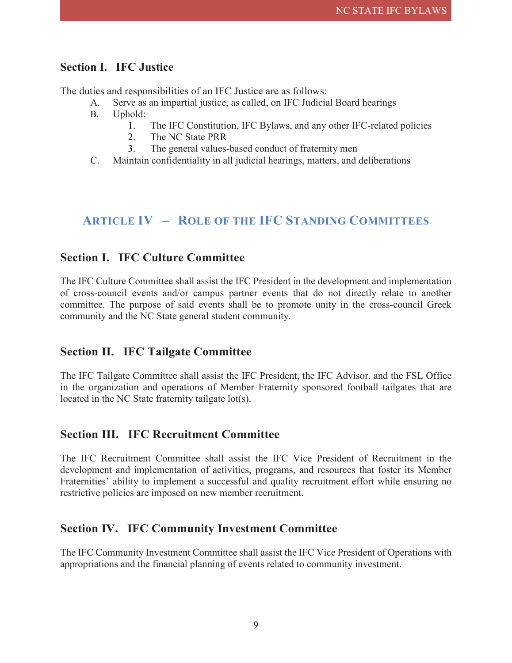#### <span id="page-9-0"></span>**Section I. IFC Justice**

The duties and responsibilities of an IFC Justice are as follows:

- A. Serve as an impartial justice, as called, on IFC Judicial Board hearings
- B. Uphold:
	- 1. The IFC Constitution, IFC Bylaws, and any other IFC-related policies
	- 2. The NC State PRR
	- 3. The general values-based conduct of fraternity men
- C. Maintain confidentiality in all judicial hearings, matters, and deliberations

# <span id="page-9-1"></span>**ARTICLE IV – ROLE OF THE IFC STANDING COMMITTEES**

#### <span id="page-9-2"></span>**Section I. IFC Culture Committee**

The IFC Culture Committee shall assist the IFC President in the development and implementation of cross-council events and/or campus partner events that do not directly relate to another committee. The purpose of said events shall be to promote unity in the cross-council Greek community and the NC State general student community.

#### <span id="page-9-3"></span>**Section II. IFC Tailgate Committee**

The IFC Tailgate Committee shall assist the IFC President, the IFC Advisor, and the FSL Office in the organization and operations of Member Fraternity sponsored football tailgates that are located in the NC State fraternity tailgate lot(s).

#### <span id="page-9-4"></span>**Section III. IFC Recruitment Committee**

The IFC Recruitment Committee shall assist the IFC Vice President of Recruitment in the development and implementation of activities, programs, and resources that foster its Member Fraternities' ability to implement a successful and quality recruitment effort while ensuring no restrictive policies are imposed on new member recruitment.

#### <span id="page-9-5"></span>**Section IV. IFC Community Investment Committee**

The IFC Community Investment Committee shall assist the IFC Vice President of Operations with appropriations and the financial planning of events related to community investment.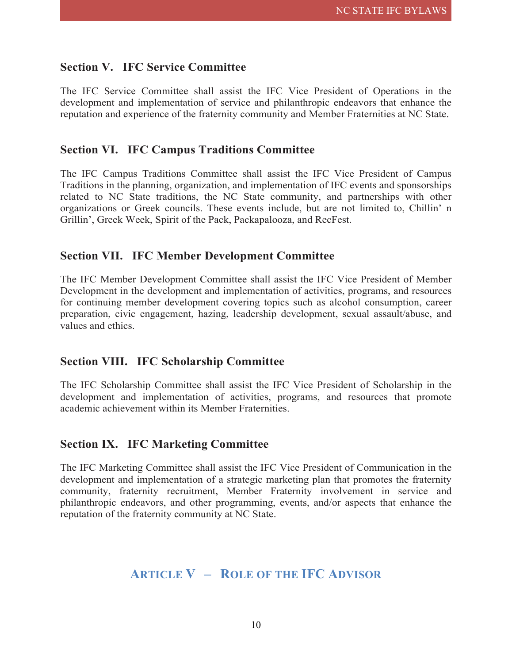#### <span id="page-10-0"></span>**Section V. IFC Service Committee**

The IFC Service Committee shall assist the IFC Vice President of Operations in the development and implementation of service and philanthropic endeavors that enhance the reputation and experience of the fraternity community and Member Fraternities at NC State.

#### <span id="page-10-1"></span>**Section VI. IFC Campus Traditions Committee**

The IFC Campus Traditions Committee shall assist the IFC Vice President of Campus Traditions in the planning, organization, and implementation of IFC events and sponsorships related to NC State traditions, the NC State community, and partnerships with other organizations or Greek councils. These events include, but are not limited to, Chillin' n Grillin', Greek Week, Spirit of the Pack, Packapalooza, and RecFest.

#### <span id="page-10-2"></span>**Section VII. IFC Member Development Committee**

The IFC Member Development Committee shall assist the IFC Vice President of Member Development in the development and implementation of activities, programs, and resources for continuing member development covering topics such as alcohol consumption, career preparation, civic engagement, hazing, leadership development, sexual assault/abuse, and values and ethics.

#### <span id="page-10-3"></span>**Section VIII. IFC Scholarship Committee**

The IFC Scholarship Committee shall assist the IFC Vice President of Scholarship in the development and implementation of activities, programs, and resources that promote academic achievement within its Member Fraternities.

#### <span id="page-10-4"></span>**Section IX. IFC Marketing Committee**

The IFC Marketing Committee shall assist the IFC Vice President of Communication in the development and implementation of a strategic marketing plan that promotes the fraternity community, fraternity recruitment, Member Fraternity involvement in service and philanthropic endeavors, and other programming, events, and/or aspects that enhance the reputation of the fraternity community at NC State.

# <span id="page-10-5"></span>**ARTICLE V – ROLE OF THE IFC ADVISOR**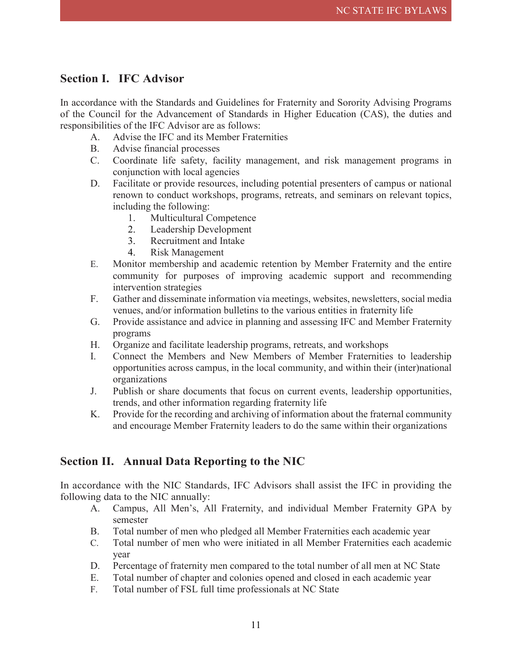#### <span id="page-11-0"></span>**Section I. IFC Advisor**

In accordance with the Standards and Guidelines for Fraternity and Sorority Advising Programs of the Council for the Advancement of Standards in Higher Education (CAS), the duties and responsibilities of the IFC Advisor are as follows:

- A. Advise the IFC and its Member Fraternities
- B. Advise financial processes
- C. Coordinate life safety, facility management, and risk management programs in conjunction with local agencies
- D. Facilitate or provide resources, including potential presenters of campus or national renown to conduct workshops, programs, retreats, and seminars on relevant topics, including the following:
	- 1. Multicultural Competence
	- 2. Leadership Development
	- 3. Recruitment and Intake
	- 4. Risk Management
- E. Monitor membership and academic retention by Member Fraternity and the entire community for purposes of improving academic support and recommending intervention strategies
- F. Gather and disseminate information via meetings, websites, newsletters, social media venues, and/or information bulletins to the various entities in fraternity life
- G. Provide assistance and advice in planning and assessing IFC and Member Fraternity programs
- H. Organize and facilitate leadership programs, retreats, and workshops
- I. Connect the Members and New Members of Member Fraternities to leadership opportunities across campus, in the local community, and within their (inter)national organizations
- J. Publish or share documents that focus on current events, leadership opportunities, trends, and other information regarding fraternity life
- K. Provide for the recording and archiving of information about the fraternal community and encourage Member Fraternity leaders to do the same within their organizations

#### <span id="page-11-1"></span>**Section II. Annual Data Reporting to the NIC**

In accordance with the NIC Standards, IFC Advisors shall assist the IFC in providing the following data to the NIC annually:

- A. Campus, All Men's, All Fraternity, and individual Member Fraternity GPA by semester
- B. Total number of men who pledged all Member Fraternities each academic year
- C. Total number of men who were initiated in all Member Fraternities each academic year
- D. Percentage of fraternity men compared to the total number of all men at NC State
- E. Total number of chapter and colonies opened and closed in each academic year
- F. Total number of FSL full time professionals at NC State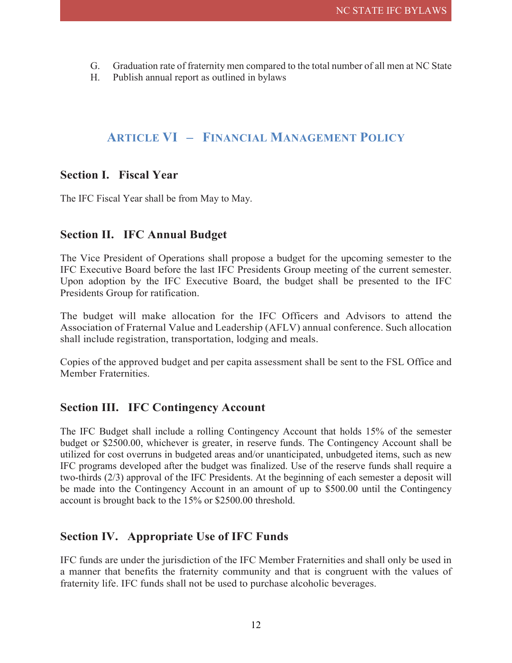- G. Graduation rate of fraternity men compared to the total number of all men at NC State
- H. Publish annual report as outlined in bylaws

## **ARTICLE VI – FINANCIAL MANAGEMENT POLICY**

#### <span id="page-12-1"></span><span id="page-12-0"></span>**Section I. Fiscal Year**

The IFC Fiscal Year shall be from May to May.

#### <span id="page-12-2"></span>**Section II. IFC Annual Budget**

The Vice President of Operations shall propose a budget for the upcoming semester to the IFC Executive Board before the last IFC Presidents Group meeting of the current semester. Upon adoption by the IFC Executive Board, the budget shall be presented to the IFC Presidents Group for ratification.

The budget will make allocation for the IFC Officers and Advisors to attend the Association of Fraternal Value and Leadership (AFLV) annual conference. Such allocation shall include registration, transportation, lodging and meals.

Copies of the approved budget and per capita assessment shall be sent to the FSL Office and Member Fraternities.

#### <span id="page-12-3"></span>**Section III. IFC Contingency Account**

The IFC Budget shall include a rolling Contingency Account that holds 15% of the semester budget or \$2500.00, whichever is greater, in reserve funds. The Contingency Account shall be utilized for cost overruns in budgeted areas and/or unanticipated, unbudgeted items, such as new IFC programs developed after the budget was finalized. Use of the reserve funds shall require a two-thirds (2/3) approval of the IFC Presidents. At the beginning of each semester a deposit will be made into the Contingency Account in an amount of up to \$500.00 until the Contingency account is brought back to the 15% or \$2500.00 threshold.

#### <span id="page-12-4"></span>**Section IV. Appropriate Use of IFC Funds**

IFC funds are under the jurisdiction of the IFC Member Fraternities and shall only be used in a manner that benefits the fraternity community and that is congruent with the values of fraternity life. IFC funds shall not be used to purchase alcoholic beverages.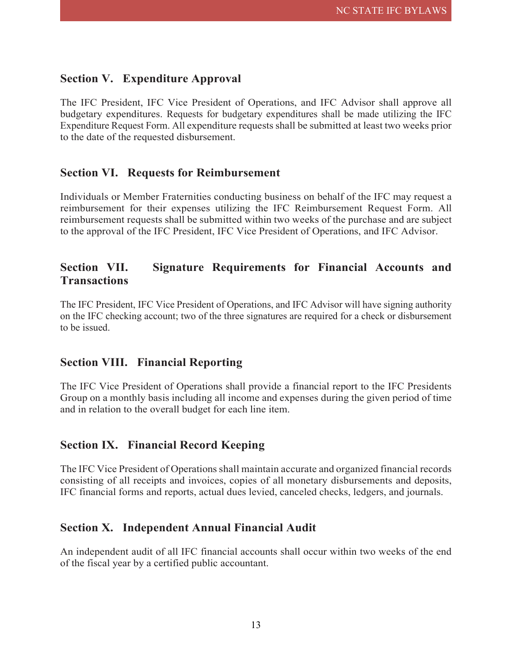#### <span id="page-13-0"></span>**Section V. Expenditure Approval**

The IFC President, IFC Vice President of Operations, and IFC Advisor shall approve all budgetary expenditures. Requests for budgetary expenditures shall be made utilizing the IFC Expenditure Request Form. All expenditure requests shall be submitted at least two weeks prior to the date of the requested disbursement.

#### <span id="page-13-1"></span>**Section VI. Requests for Reimbursement**

Individuals or Member Fraternities conducting business on behalf of the IFC may request a reimbursement for their expenses utilizing the IFC Reimbursement Request Form. All reimbursement requests shall be submitted within two weeks of the purchase and are subject to the approval of the IFC President, IFC Vice President of Operations, and IFC Advisor.

#### <span id="page-13-2"></span>**Section VII. Signature Requirements for Financial Accounts and Transactions**

The IFC President, IFC Vice President of Operations, and IFC Advisor will have signing authority on the IFC checking account; two of the three signatures are required for a check or disbursement to be issued.

#### <span id="page-13-3"></span>**Section VIII. Financial Reporting**

The IFC Vice President of Operations shall provide a financial report to the IFC Presidents Group on a monthly basis including all income and expenses during the given period of time and in relation to the overall budget for each line item.

#### <span id="page-13-4"></span>**Section IX. Financial Record Keeping**

The IFC Vice President of Operations shall maintain accurate and organized financial records consisting of all receipts and invoices, copies of all monetary disbursements and deposits, IFC financial forms and reports, actual dues levied, canceled checks, ledgers, and journals.

#### <span id="page-13-5"></span>**Section X. Independent Annual Financial Audit**

An independent audit of all IFC financial accounts shall occur within two weeks of the end of the fiscal year by a certified public accountant.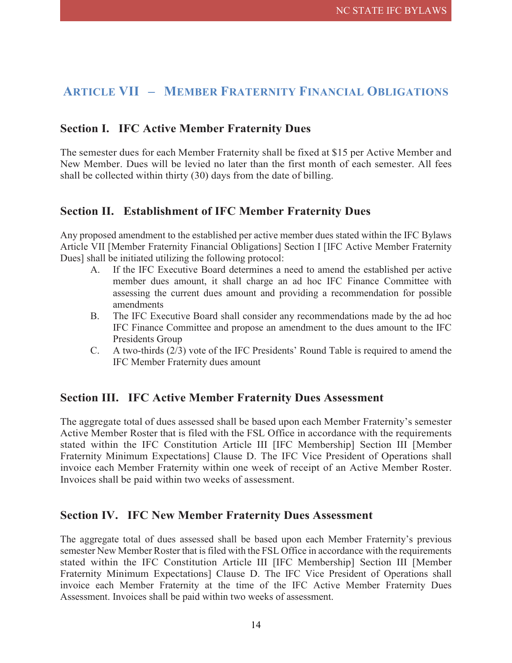## <span id="page-14-0"></span>**ARTICLE VII – MEMBER FRATERNITY FINANCIAL OBLIGATIONS**

#### <span id="page-14-1"></span>**Section I. IFC Active Member Fraternity Dues**

The semester dues for each Member Fraternity shall be fixed at \$15 per Active Member and New Member. Dues will be levied no later than the first month of each semester. All fees shall be collected within thirty (30) days from the date of billing.

#### <span id="page-14-2"></span>**Section II. Establishment of IFC Member Fraternity Dues**

Any proposed amendment to the established per active member dues stated within the IFC Bylaws Article VII [Member Fraternity Financial Obligations] Section I [IFC Active Member Fraternity Dues] shall be initiated utilizing the following protocol:

- A. If the IFC Executive Board determines a need to amend the established per active member dues amount, it shall charge an ad hoc IFC Finance Committee with assessing the current dues amount and providing a recommendation for possible amendments
- B. The IFC Executive Board shall consider any recommendations made by the ad hoc IFC Finance Committee and propose an amendment to the dues amount to the IFC Presidents Group
- C. A two-thirds (2/3) vote of the IFC Presidents' Round Table is required to amend the IFC Member Fraternity dues amount

#### <span id="page-14-3"></span>**Section III. IFC Active Member Fraternity Dues Assessment**

The aggregate total of dues assessed shall be based upon each Member Fraternity's semester Active Member Roster that is filed with the FSL Office in accordance with the requirements stated within the IFC Constitution Article III [IFC Membership] Section III [Member Fraternity Minimum Expectations] Clause D. The IFC Vice President of Operations shall invoice each Member Fraternity within one week of receipt of an Active Member Roster. Invoices shall be paid within two weeks of assessment.

#### <span id="page-14-4"></span>**Section IV. IFC New Member Fraternity Dues Assessment**

The aggregate total of dues assessed shall be based upon each Member Fraternity's previous semester New Member Roster that is filed with the FSL Office in accordance with the requirements stated within the IFC Constitution Article III [IFC Membership] Section III [Member Fraternity Minimum Expectations] Clause D. The IFC Vice President of Operations shall invoice each Member Fraternity at the time of the IFC Active Member Fraternity Dues Assessment. Invoices shall be paid within two weeks of assessment.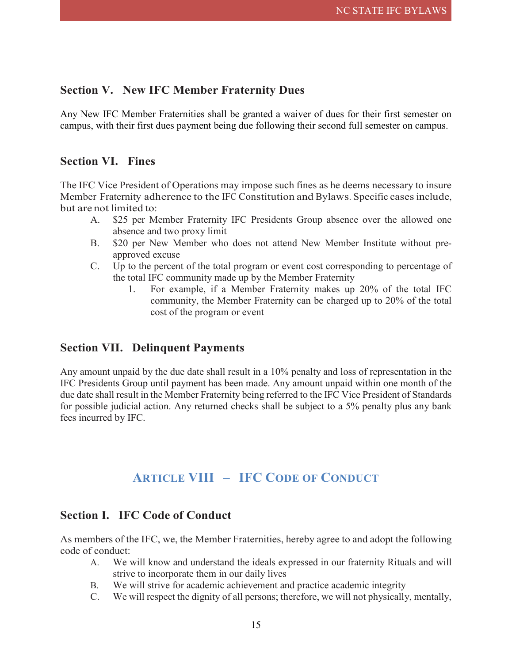#### <span id="page-15-0"></span>**Section V. New IFC Member Fraternity Dues**

Any New IFC Member Fraternities shall be granted a waiver of dues for their first semester on campus, with their first dues payment being due following their second full semester on campus.

#### <span id="page-15-1"></span>**Section VI. Fines**

The IFC Vice President of Operations may impose such fines as he deems necessary to insure Member Fraternity adherence to the IFC Constitution and Bylaws. Specific cases include, but are not limited to:

- A. \$25 per Member Fraternity IFC Presidents Group absence over the allowed one absence and two proxy limit
- B. \$20 per New Member who does not attend New Member Institute without preapproved excuse
- C. Up to the percent of the total program or event cost corresponding to percentage of the total IFC community made up by the Member Fraternity
	- 1. For example, if a Member Fraternity makes up 20% of the total IFC community, the Member Fraternity can be charged up to 20% of the total cost of the program or event

#### <span id="page-15-2"></span>**Section VII. Delinquent Payments**

Any amount unpaid by the due date shall result in a 10% penalty and loss of representation in the IFC Presidents Group until payment has been made. Any amount unpaid within one month of the due date shall result in the Member Fraternity being referred to the IFC Vice President of Standards for possible judicial action. Any returned checks shall be subject to a 5% penalty plus any bank fees incurred by IFC.

# **ARTICLE VIII – IFC CODE OF CONDUCT**

#### <span id="page-15-4"></span><span id="page-15-3"></span>**Section I. IFC Code of Conduct**

As members of the IFC, we, the Member Fraternities, hereby agree to and adopt the following code of conduct:

- A. We will know and understand the ideals expressed in our fraternity Rituals and will strive to incorporate them in our daily lives
- B. We will strive for academic achievement and practice academic integrity
- C. We will respect the dignity of all persons; therefore, we will not physically, mentally,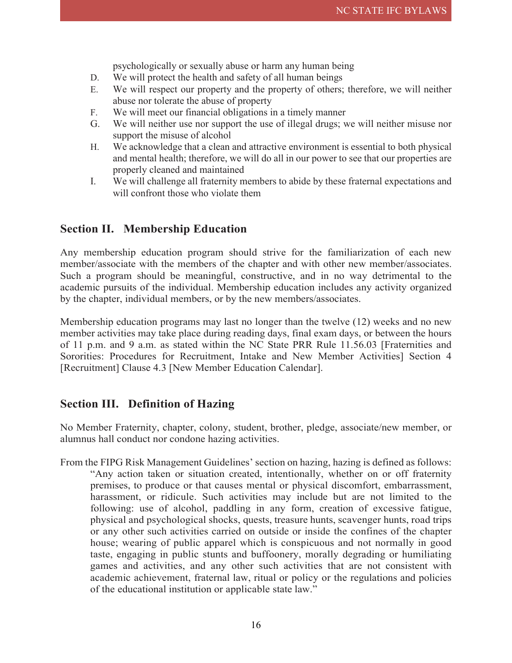psychologically or sexually abuse or harm any human being

- D. We will protect the health and safety of all human beings
- E. We will respect our property and the property of others; therefore, we will neither abuse nor tolerate the abuse of property
- F. We will meet our financial obligations in a timely manner
- G. We will neither use nor support the use of illegal drugs; we will neither misuse nor support the misuse of alcohol
- H. We acknowledge that a clean and attractive environment is essential to both physical and mental health; therefore, we will do all in our power to see that our properties are properly cleaned and maintained
- I. We will challenge all fraternity members to abide by these fraternal expectations and will confront those who violate them

#### <span id="page-16-0"></span>**Section II. Membership Education**

Any membership education program should strive for the familiarization of each new member/associate with the members of the chapter and with other new member/associates. Such a program should be meaningful, constructive, and in no way detrimental to the academic pursuits of the individual. Membership education includes any activity organized by the chapter, individual members, or by the new members/associates.

Membership education programs may last no longer than the twelve (12) weeks and no new member activities may take place during reading days, final exam days, or between the hours of 11 p.m. and 9 a.m. as stated within the NC State PRR Rule 11.56.03 [Fraternities and Sororities: Procedures for Recruitment, Intake and New Member Activities] Section 4 [Recruitment] Clause 4.3 [New Member Education Calendar].

#### <span id="page-16-1"></span>**Section III. Definition of Hazing**

No Member Fraternity, chapter, colony, student, brother, pledge, associate/new member, or alumnus hall conduct nor condone hazing activities.

From the FIPG Risk Management Guidelines' section on hazing, hazing is defined as follows: "Any action taken or situation created, intentionally, whether on or off fraternity premises, to produce or that causes mental or physical discomfort, embarrassment, harassment, or ridicule. Such activities may include but are not limited to the following: use of alcohol, paddling in any form, creation of excessive fatigue, physical and psychological shocks, quests, treasure hunts, scavenger hunts, road trips or any other such activities carried on outside or inside the confines of the chapter house; wearing of public apparel which is conspicuous and not normally in good taste, engaging in public stunts and buffoonery, morally degrading or humiliating games and activities, and any other such activities that are not consistent with academic achievement, fraternal law, ritual or policy or the regulations and policies of the educational institution or applicable state law."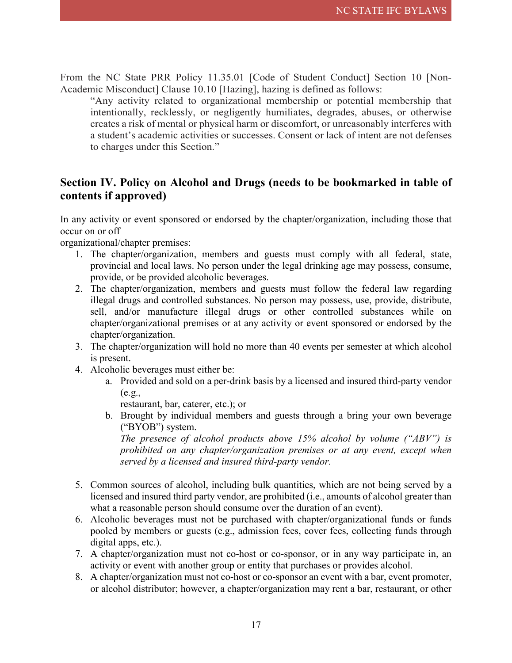From the NC State PRR Policy 11.35.01 [Code of Student Conduct] Section 10 [Non-Academic Misconduct] Clause 10.10 [Hazing], hazing is defined as follows:

"Any activity related to organizational membership or potential membership that intentionally, recklessly, or negligently humiliates, degrades, abuses, or otherwise creates a risk of mental or physical harm or discomfort, or unreasonably interferes with a student's academic activities or successes. Consent or lack of intent are not defenses to charges under this Section."

#### <span id="page-17-0"></span>**Section IV. Policy on Alcohol and Drugs (needs to be bookmarked in table of contents if approved)**

In any activity or event sponsored or endorsed by the chapter/organization, including those that occur on or off

organizational/chapter premises:

- 1. The chapter/organization, members and guests must comply with all federal, state, provincial and local laws. No person under the legal drinking age may possess, consume, provide, or be provided alcoholic beverages.
- 2. The chapter/organization, members and guests must follow the federal law regarding illegal drugs and controlled substances. No person may possess, use, provide, distribute, sell, and/or manufacture illegal drugs or other controlled substances while on chapter/organizational premises or at any activity or event sponsored or endorsed by the chapter/organization.
- 3. The chapter/organization will hold no more than 40 events per semester at which alcohol is present.
- 4. Alcoholic beverages must either be:
	- a. Provided and sold on a per-drink basis by a licensed and insured third-party vendor (e.g.,

restaurant, bar, caterer, etc.); or

b. Brought by individual members and guests through a bring your own beverage ("BYOB") system.

*The presence of alcohol products above 15% alcohol by volume ("ABV") is prohibited on any chapter/organization premises or at any event, except when served by a licensed and insured third-party vendor.*

- 5. Common sources of alcohol, including bulk quantities, which are not being served by a licensed and insured third party vendor, are prohibited (i.e., amounts of alcohol greater than what a reasonable person should consume over the duration of an event).
- 6. Alcoholic beverages must not be purchased with chapter/organizational funds or funds pooled by members or guests (e.g., admission fees, cover fees, collecting funds through digital apps, etc.).
- 7. A chapter/organization must not co-host or co-sponsor, or in any way participate in, an activity or event with another group or entity that purchases or provides alcohol.
- 8. A chapter/organization must not co-host or co-sponsor an event with a bar, event promoter, or alcohol distributor; however, a chapter/organization may rent a bar, restaurant, or other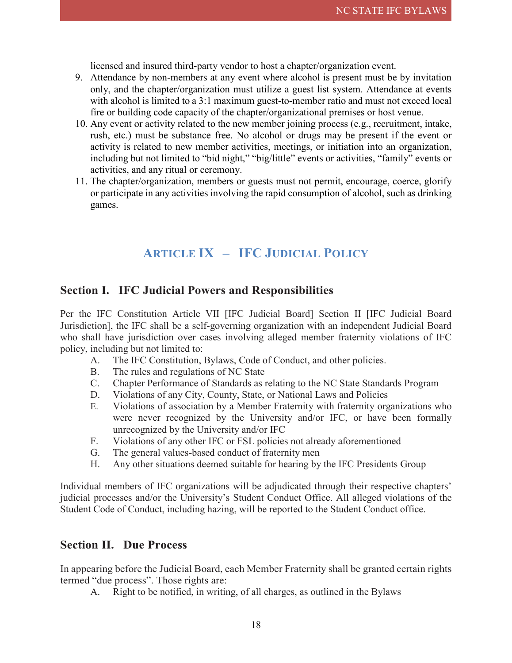licensed and insured third-party vendor to host a chapter/organization event.

- 9. Attendance by non-members at any event where alcohol is present must be by invitation only, and the chapter/organization must utilize a guest list system. Attendance at events with alcohol is limited to a 3:1 maximum guest-to-member ratio and must not exceed local fire or building code capacity of the chapter/organizational premises or host venue.
- 10. Any event or activity related to the new member joining process (e.g., recruitment, intake, rush, etc.) must be substance free. No alcohol or drugs may be present if the event or activity is related to new member activities, meetings, or initiation into an organization, including but not limited to "bid night," "big/little" events or activities, "family" events or activities, and any ritual or ceremony.
- 11. The chapter/organization, members or guests must not permit, encourage, coerce, glorify or participate in any activities involving the rapid consumption of alcohol, such as drinking games.

# **ARTICLE IX – IFC JUDICIAL POLICY**

#### <span id="page-18-1"></span><span id="page-18-0"></span>**Section I. IFC Judicial Powers and Responsibilities**

Per the IFC Constitution Article VII [IFC Judicial Board] Section II [IFC Judicial Board Jurisdiction], the IFC shall be a self-governing organization with an independent Judicial Board who shall have jurisdiction over cases involving alleged member fraternity violations of IFC policy, including but not limited to:

- A. The IFC Constitution, Bylaws, Code of Conduct, and other policies.
- B. The rules and regulations of NC State
- C. Chapter Performance of Standards as relating to the NC State Standards Program
- D. Violations of any City, County, State, or National Laws and Policies
- E. Violations of association by a Member Fraternity with fraternity organizations who were never recognized by the University and/or IFC, or have been formally unrecognized by the University and/or IFC
- F. Violations of any other IFC or FSL policies not already aforementioned
- G. The general values-based conduct of fraternity men
- H. Any other situations deemed suitable for hearing by the IFC Presidents Group

Individual members of IFC organizations will be adjudicated through their respective chapters' judicial processes and/or the University's Student Conduct Office. All alleged violations of the Student Code of Conduct, including hazing, will be reported to the Student Conduct office.

#### <span id="page-18-2"></span>**Section II. Due Process**

In appearing before the Judicial Board, each Member Fraternity shall be granted certain rights termed "due process". Those rights are:

A. Right to be notified, in writing, of all charges, as outlined in the Bylaws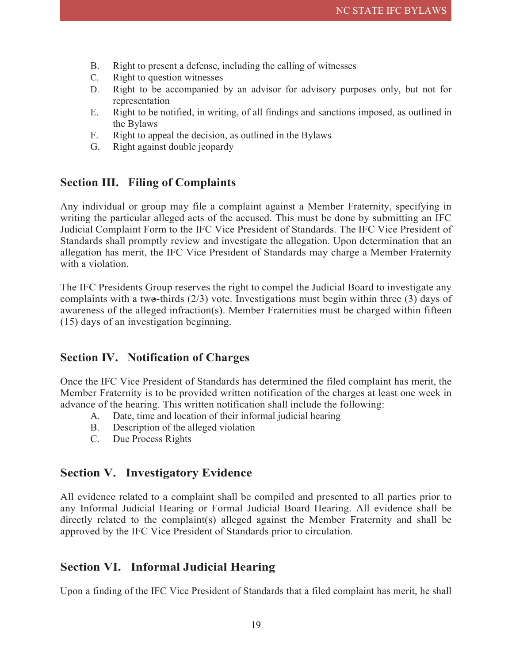- B. Right to present a defense, including the calling of witnesses
- C. Right to question witnesses
- D. Right to be accompanied by an advisor for advisory purposes only, but not for representation
- E. Right to be notified, in writing, of all findings and sanctions imposed, as outlined in the Bylaws
- F. Right to appeal the decision, as outlined in the Bylaws
- G. Right against double jeopardy

#### <span id="page-19-0"></span>**Section III. Filing of Complaints**

Any individual or group may file a complaint against a Member Fraternity, specifying in writing the particular alleged acts of the accused. This must be done by submitting an IFC Judicial Complaint Form to the IFC Vice President of Standards. The IFC Vice President of Standards shall promptly review and investigate the allegation. Upon determination that an allegation has merit, the IFC Vice President of Standards may charge a Member Fraternity with a violation.

The IFC Presidents Group reserves the right to compel the Judicial Board to investigate any complaints with a two-thirds (2/3) vote. Investigations must begin within three (3) days of awareness of the alleged infraction(s). Member Fraternities must be charged within fifteen (15) days of an investigation beginning.

#### <span id="page-19-1"></span>**Section IV. Notification of Charges**

Once the IFC Vice President of Standards has determined the filed complaint has merit, the Member Fraternity is to be provided written notification of the charges at least one week in advance of the hearing. This written notification shall include the following:

- A. Date, time and location of their informal judicial hearing
- B. Description of the alleged violation
- C. Due Process Rights

#### <span id="page-19-2"></span>**Section V. Investigatory Evidence**

All evidence related to a complaint shall be compiled and presented to all parties prior to any Informal Judicial Hearing or Formal Judicial Board Hearing. All evidence shall be directly related to the complaint(s) alleged against the Member Fraternity and shall be approved by the IFC Vice President of Standards prior to circulation.

#### <span id="page-19-3"></span>**Section VI. Informal Judicial Hearing**

Upon a finding of the IFC Vice President of Standards that a filed complaint has merit, he shall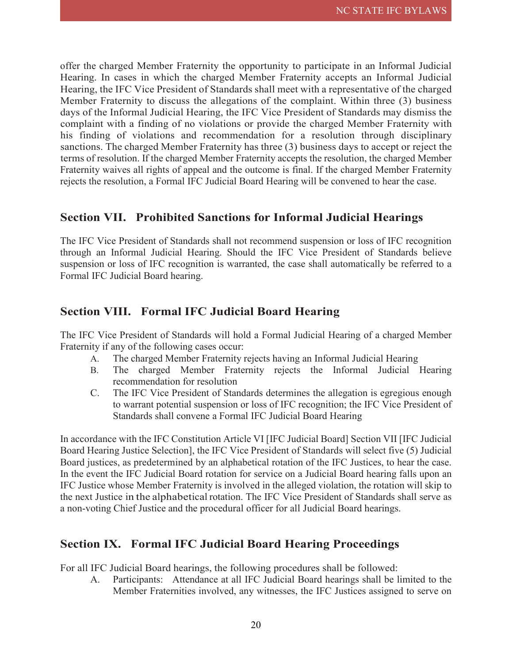offer the charged Member Fraternity the opportunity to participate in an Informal Judicial Hearing. In cases in which the charged Member Fraternity accepts an Informal Judicial Hearing, the IFC Vice President of Standards shall meet with a representative of the charged Member Fraternity to discuss the allegations of the complaint. Within three (3) business days of the Informal Judicial Hearing, the IFC Vice President of Standards may dismiss the complaint with a finding of no violations or provide the charged Member Fraternity with his finding of violations and recommendation for a resolution through disciplinary sanctions. The charged Member Fraternity has three (3) business days to accept or reject the terms of resolution. If the charged Member Fraternity accepts the resolution, the charged Member Fraternity waives all rights of appeal and the outcome is final. If the charged Member Fraternity rejects the resolution, a Formal IFC Judicial Board Hearing will be convened to hear the case.

#### <span id="page-20-0"></span>**Section VII. Prohibited Sanctions for Informal Judicial Hearings**

The IFC Vice President of Standards shall not recommend suspension or loss of IFC recognition through an Informal Judicial Hearing. Should the IFC Vice President of Standards believe suspension or loss of IFC recognition is warranted, the case shall automatically be referred to a Formal IFC Judicial Board hearing.

#### <span id="page-20-1"></span>**Section VIII. Formal IFC Judicial Board Hearing**

The IFC Vice President of Standards will hold a Formal Judicial Hearing of a charged Member Fraternity if any of the following cases occur:

- A. The charged Member Fraternity rejects having an Informal Judicial Hearing
- B. The charged Member Fraternity rejects the Informal Judicial Hearing recommendation for resolution
- C. The IFC Vice President of Standards determines the allegation is egregious enough to warrant potential suspension or loss of IFC recognition; the IFC Vice President of Standards shall convene a Formal IFC Judicial Board Hearing

In accordance with the IFC Constitution Article VI [IFC Judicial Board] Section VII [IFC Judicial Board Hearing Justice Selection], the IFC Vice President of Standards will select five (5) Judicial Board justices, as predetermined by an alphabetical rotation of the IFC Justices, to hear the case. In the event the IFC Judicial Board rotation for service on a Judicial Board hearing falls upon an IFC Justice whose Member Fraternity is involved in the alleged violation, the rotation will skip to the next Justice in the alphabetical rotation. The IFC Vice President of Standards shall serve as a non-voting Chief Justice and the procedural officer for all Judicial Board hearings.

#### <span id="page-20-2"></span>**Section IX. Formal IFC Judicial Board Hearing Proceedings**

For all IFC Judicial Board hearings, the following procedures shall be followed:

A. Participants: Attendance at all IFC Judicial Board hearings shall be limited to the Member Fraternities involved, any witnesses, the IFC Justices assigned to serve on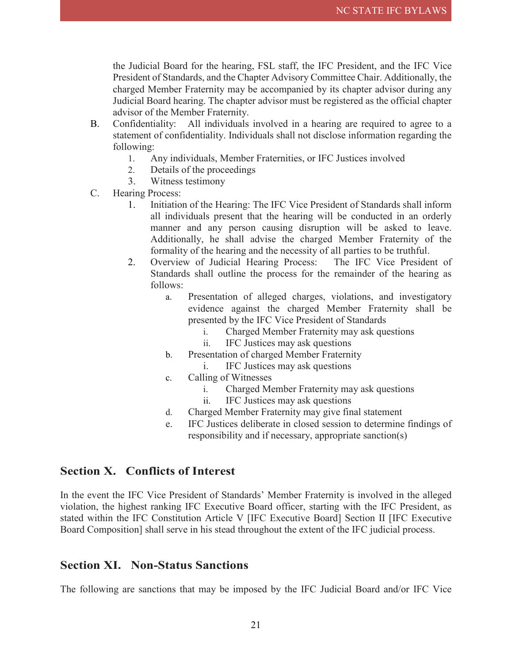the Judicial Board for the hearing, FSL staff, the IFC President, and the IFC Vice President of Standards, and the Chapter Advisory Committee Chair. Additionally, the charged Member Fraternity may be accompanied by its chapter advisor during any Judicial Board hearing. The chapter advisor must be registered as the official chapter advisor of the Member Fraternity.

- B. Confidentiality: All individuals involved in a hearing are required to agree to a statement of confidentiality. Individuals shall not disclose information regarding the following:
	- 1. Any individuals, Member Fraternities, or IFC Justices involved
	- 2. Details of the proceedings
	- 3. Witness testimony
- C. Hearing Process:
	- 1. Initiation of the Hearing: The IFC Vice President of Standards shall inform all individuals present that the hearing will be conducted in an orderly manner and any person causing disruption will be asked to leave. Additionally, he shall advise the charged Member Fraternity of the formality of the hearing and the necessity of all parties to be truthful.
	- 2. Overview of Judicial Hearing Process: The IFC Vice President of Standards shall outline the process for the remainder of the hearing as follows:
		- a. Presentation of alleged charges, violations, and investigatory evidence against the charged Member Fraternity shall be presented by the IFC Vice President of Standards
			- i. Charged Member Fraternity may ask questions
			- ii. IFC Justices may ask questions
		- b. Presentation of charged Member Fraternity
			- i. IFC Justices may ask questions
		- c. Calling of Witnesses
			- i. Charged Member Fraternity may ask questions
			- ii. IFC Justices may ask questions
		- d. Charged Member Fraternity may give final statement
		- e. IFC Justices deliberate in closed session to determine findings of responsibility and if necessary, appropriate sanction(s)

#### <span id="page-21-0"></span>**Section X. Conflicts of Interest**

In the event the IFC Vice President of Standards' Member Fraternity is involved in the alleged violation, the highest ranking IFC Executive Board officer, starting with the IFC President, as stated within the IFC Constitution Article V [IFC Executive Board] Section II [IFC Executive Board Composition] shall serve in his stead throughout the extent of the IFC judicial process.

#### <span id="page-21-1"></span>**Section XI. Non-Status Sanctions**

The following are sanctions that may be imposed by the IFC Judicial Board and/or IFC Vice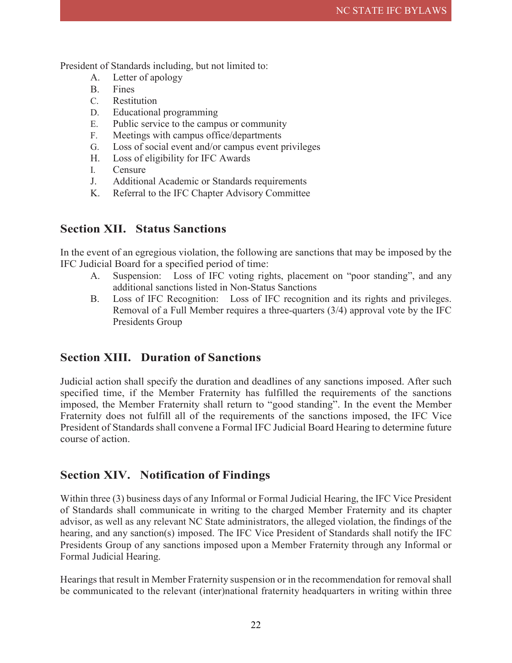President of Standards including, but not limited to:

- A. Letter of apology
- B. Fines
- C. Restitution
- D. Educational programming
- E. Public service to the campus or community
- F. Meetings with campus office/departments
- G. Loss of social event and/or campus event privileges
- H. Loss of eligibility for IFC Awards
- I. Censure
- J. Additional Academic or Standards requirements
- K. Referral to the IFC Chapter Advisory Committee

#### <span id="page-22-0"></span>**Section XII. Status Sanctions**

In the event of an egregious violation, the following are sanctions that may be imposed by the IFC Judicial Board for a specified period of time:

- A. Suspension: Loss of IFC voting rights, placement on "poor standing", and any additional sanctions listed in Non-Status Sanctions
- B. Loss of IFC Recognition: Loss of IFC recognition and its rights and privileges. Removal of a Full Member requires a three-quarters (3/4) approval vote by the IFC Presidents Group

#### <span id="page-22-1"></span>**Section XIII. Duration of Sanctions**

Judicial action shall specify the duration and deadlines of any sanctions imposed. After such specified time, if the Member Fraternity has fulfilled the requirements of the sanctions imposed, the Member Fraternity shall return to "good standing". In the event the Member Fraternity does not fulfill all of the requirements of the sanctions imposed, the IFC Vice President of Standards shall convene a Formal IFC Judicial Board Hearing to determine future course of action.

#### <span id="page-22-2"></span>**Section XIV. Notification of Findings**

Within three (3) business days of any Informal or Formal Judicial Hearing, the IFC Vice President of Standards shall communicate in writing to the charged Member Fraternity and its chapter advisor, as well as any relevant NC State administrators, the alleged violation, the findings of the hearing, and any sanction(s) imposed. The IFC Vice President of Standards shall notify the IFC Presidents Group of any sanctions imposed upon a Member Fraternity through any Informal or Formal Judicial Hearing.

Hearings that result in Member Fraternity suspension or in the recommendation for removal shall be communicated to the relevant (inter)national fraternity headquarters in writing within three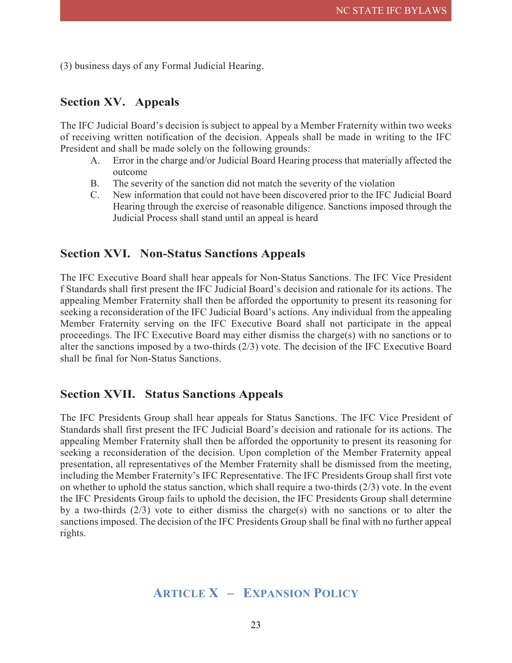(3) business days of any Formal Judicial Hearing.

#### <span id="page-23-0"></span>**Section XV. Appeals**

The IFC Judicial Board's decision is subject to appeal by a Member Fraternity within two weeks of receiving written notification of the decision. Appeals shall be made in writing to the IFC President and shall be made solely on the following grounds:

- A. Error in the charge and/or Judicial Board Hearing process that materially affected the outcome
- B. The severity of the sanction did not match the severity of the violation
- C. New information that could not have been discovered prior to the IFC Judicial Board Hearing through the exercise of reasonable diligence. Sanctions imposed through the Judicial Process shall stand until an appeal is heard

#### <span id="page-23-1"></span>**Section XVI. Non-Status Sanctions Appeals**

The IFC Executive Board shall hear appeals for Non-Status Sanctions. The IFC Vice President f Standards shall first present the IFC Judicial Board's decision and rationale for its actions. The appealing Member Fraternity shall then be afforded the opportunity to present its reasoning for seeking a reconsideration of the IFC Judicial Board's actions. Any individual from the appealing Member Fraternity serving on the IFC Executive Board shall not participate in the appeal proceedings. The IFC Executive Board may either dismiss the charge(s) with no sanctions or to alter the sanctions imposed by a two-thirds (2/3) vote. The decision of the IFC Executive Board shall be final for Non-Status Sanctions.

#### <span id="page-23-2"></span>**Section XVII. Status Sanctions Appeals**

The IFC Presidents Group shall hear appeals for Status Sanctions. The IFC Vice President of Standards shall first present the IFC Judicial Board's decision and rationale for its actions. The appealing Member Fraternity shall then be afforded the opportunity to present its reasoning for seeking a reconsideration of the decision. Upon completion of the Member Fraternity appeal presentation, all representatives of the Member Fraternity shall be dismissed from the meeting, including the Member Fraternity's IFC Representative. The IFC Presidents Group shall first vote on whether to uphold the status sanction, which shall require a two-thirds (2/3) vote. In the event the IFC Presidents Group fails to uphold the decision, the IFC Presidents Group shall determine by a two-thirds (2/3) vote to either dismiss the charge(s) with no sanctions or to alter the sanctions imposed. The decision of the IFC Presidents Group shall be final with no further appeal rights.

#### <span id="page-23-3"></span>**ARTICLE X – EXPANSION POLICY**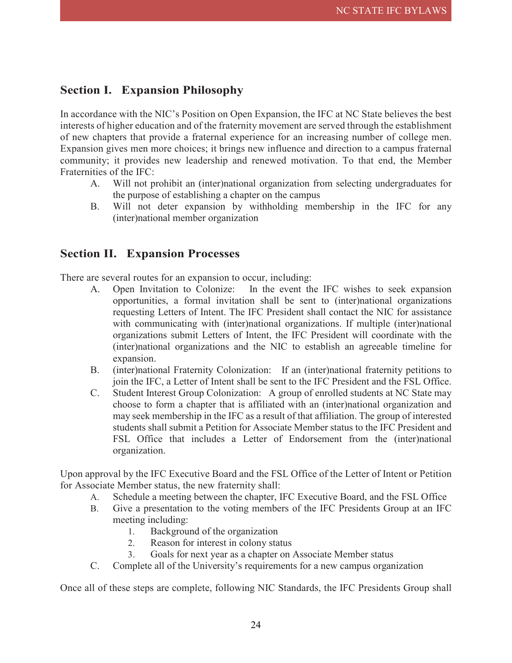### <span id="page-24-0"></span>**Section I. Expansion Philosophy**

In accordance with the NIC's Position on Open Expansion, the IFC at NC State believes the best interests of higher education and of the fraternity movement are served through the establishment of new chapters that provide a fraternal experience for an increasing number of college men. Expansion gives men more choices; it brings new influence and direction to a campus fraternal community; it provides new leadership and renewed motivation. To that end, the Member Fraternities of the IFC:

- A. Will not prohibit an (inter)national organization from selecting undergraduates for the purpose of establishing a chapter on the campus
- B. Will not deter expansion by withholding membership in the IFC for any (inter)national member organization

#### <span id="page-24-1"></span>**Section II. Expansion Processes**

There are several routes for an expansion to occur, including:

- A. Open Invitation to Colonize: In the event the IFC wishes to seek expansion opportunities, a formal invitation shall be sent to (inter)national organizations requesting Letters of Intent. The IFC President shall contact the NIC for assistance with communicating with (inter)national organizations. If multiple (inter)national organizations submit Letters of Intent, the IFC President will coordinate with the (inter)national organizations and the NIC to establish an agreeable timeline for expansion.
- B. (inter)national Fraternity Colonization: If an (inter)national fraternity petitions to join the IFC, a Letter of Intent shall be sent to the IFC President and the FSL Office.
- C. Student Interest Group Colonization: A group of enrolled students at NC State may choose to form a chapter that is affiliated with an (inter)national organization and may seek membership in the IFC as a result of that affiliation. The group of interested students shall submit a Petition for Associate Member status to the IFC President and FSL Office that includes a Letter of Endorsement from the (inter)national organization.

Upon approval by the IFC Executive Board and the FSL Office of the Letter of Intent or Petition for Associate Member status, the new fraternity shall:

- A. Schedule a meeting between the chapter, IFC Executive Board, and the FSL Office
- B. Give a presentation to the voting members of the IFC Presidents Group at an IFC meeting including:
	- 1. Background of the organization
	- 2. Reason for interest in colony status
	- 3. Goals for next year as a chapter on Associate Member status
- C. Complete all of the University's requirements for a new campus organization

Once all of these steps are complete, following NIC Standards, the IFC Presidents Group shall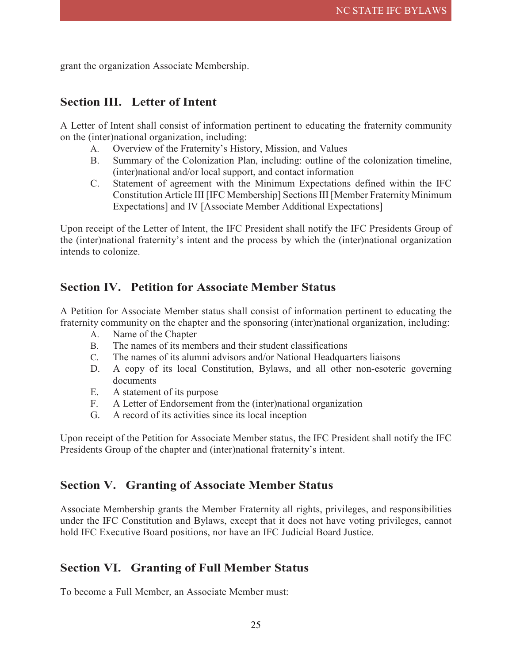grant the organization Associate Membership.

#### <span id="page-25-0"></span>**Section III. Letter of Intent**

A Letter of Intent shall consist of information pertinent to educating the fraternity community on the (inter)national organization, including:

- A. Overview of the Fraternity's History, Mission, and Values
- B. Summary of the Colonization Plan, including: outline of the colonization timeline, (inter)national and/or local support, and contact information
- C. Statement of agreement with the Minimum Expectations defined within the IFC Constitution Article III [IFC Membership] Sections III [Member Fraternity Minimum Expectations] and IV [Associate Member Additional Expectations]

Upon receipt of the Letter of Intent, the IFC President shall notify the IFC Presidents Group of the (inter)national fraternity's intent and the process by which the (inter)national organization intends to colonize.

#### <span id="page-25-1"></span>**Section IV. Petition for Associate Member Status**

A Petition for Associate Member status shall consist of information pertinent to educating the fraternity community on the chapter and the sponsoring (inter)national organization, including:

- A. Name of the Chapter
- B. The names of its members and their student classifications
- C. The names of its alumni advisors and/or National Headquarters liaisons
- D. A copy of its local Constitution, Bylaws, and all other non-esoteric governing documents
- E. A statement of its purpose
- F. A Letter of Endorsement from the (inter)national organization
- G. A record of its activities since its local inception

Upon receipt of the Petition for Associate Member status, the IFC President shall notify the IFC Presidents Group of the chapter and (inter)national fraternity's intent.

#### <span id="page-25-2"></span>**Section V. Granting of Associate Member Status**

Associate Membership grants the Member Fraternity all rights, privileges, and responsibilities under the IFC Constitution and Bylaws, except that it does not have voting privileges, cannot hold IFC Executive Board positions, nor have an IFC Judicial Board Justice.

#### <span id="page-25-3"></span>**Section VI. Granting of Full Member Status**

To become a Full Member, an Associate Member must: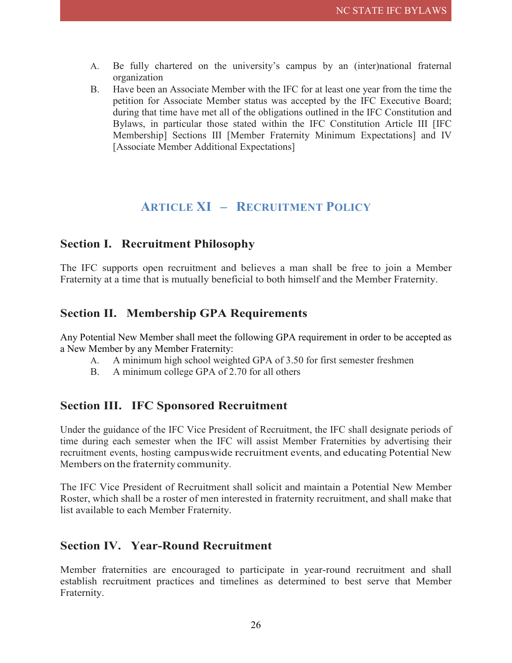- A. Be fully chartered on the university's campus by an (inter)national fraternal organization
- B. Have been an Associate Member with the IFC for at least one year from the time the petition for Associate Member status was accepted by the IFC Executive Board; during that time have met all of the obligations outlined in the IFC Constitution and Bylaws, in particular those stated within the IFC Constitution Article III [IFC Membership] Sections III [Member Fraternity Minimum Expectations] and IV [Associate Member Additional Expectations]

# **ARTICLE XI – RECRUITMENT POLICY**

#### <span id="page-26-1"></span><span id="page-26-0"></span>**Section I. Recruitment Philosophy**

The IFC supports open recruitment and believes a man shall be free to join a Member Fraternity at a time that is mutually beneficial to both himself and the Member Fraternity.

#### <span id="page-26-2"></span>**Section II. Membership GPA Requirements**

Any Potential New Member shall meet the following GPA requirement in order to be accepted as a New Member by any Member Fraternity:

- A. A minimum high school weighted GPA of 3.50 for first semester freshmen
- B. A minimum college GPA of 2.70 for all others

#### <span id="page-26-3"></span>**Section III. IFC Sponsored Recruitment**

Under the guidance of the IFC Vice President of Recruitment, the IFC shall designate periods of time during each semester when the IFC will assist Member Fraternities by advertising their recruitment events, hosting campus-wide recruitment events, and educating Potential New Members on the fraternity community.

The IFC Vice President of Recruitment shall solicit and maintain a Potential New Member Roster, which shall be a roster of men interested in fraternity recruitment, and shall make that list available to each Member Fraternity.

#### <span id="page-26-4"></span>**Section IV. Year-Round Recruitment**

Member fraternities are encouraged to participate in year-round recruitment and shall establish recruitment practices and timelines as determined to best serve that Member Fraternity.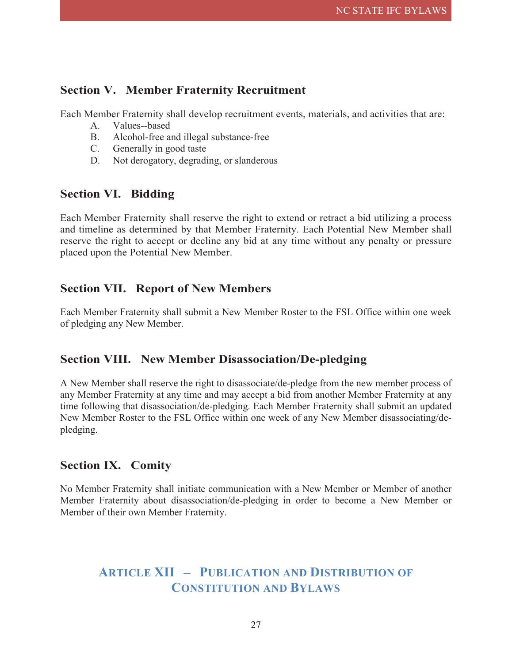#### <span id="page-27-0"></span>**Section V. Member Fraternity Recruitment**

Each Member Fraternity shall develop recruitment events, materials, and activities that are:

- A. Values--based
- B. Alcohol-free and illegal substance-free
- C. Generally in good taste
- D. Not derogatory, degrading, or slanderous

#### <span id="page-27-1"></span>**Section VI. Bidding**

Each Member Fraternity shall reserve the right to extend or retract a bid utilizing a process and timeline as determined by that Member Fraternity. Each Potential New Member shall reserve the right to accept or decline any bid at any time without any penalty or pressure placed upon the Potential New Member.

#### <span id="page-27-2"></span>**Section VII. Report of New Members**

Each Member Fraternity shall submit a New Member Roster to the FSL Office within one week of pledging any New Member.

#### <span id="page-27-3"></span>**Section VIII. New Member Disassociation/De-pledging**

A New Member shall reserve the right to disassociate/de-pledge from the new member process of any Member Fraternity at any time and may accept a bid from another Member Fraternity at any time following that disassociation/de-pledging. Each Member Fraternity shall submit an updated New Member Roster to the FSL Office within one week of any New Member disassociating/depledging.

#### <span id="page-27-4"></span>**Section IX. Comity**

No Member Fraternity shall initiate communication with a New Member or Member of another Member Fraternity about disassociation/de-pledging in order to become a New Member or Member of their own Member Fraternity.

# <span id="page-27-5"></span>**ARTICLE XII – PUBLICATION AND DISTRIBUTION OF CONSTITUTION AND BYLAWS**